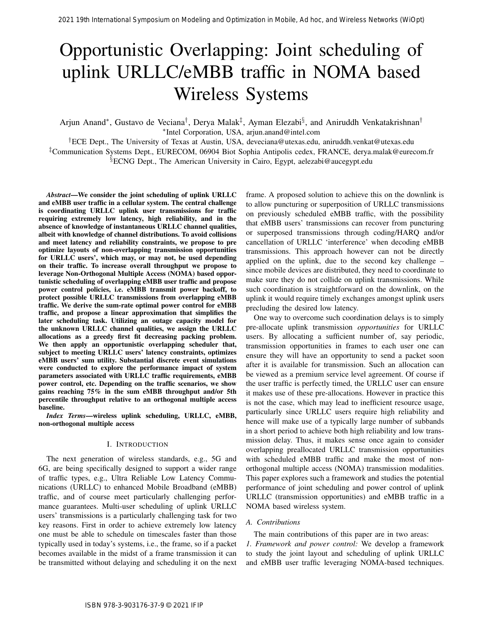# Opportunistic Overlapping: Joint scheduling of uplink URLLC/eMBB traffic in NOMA based Wireless Systems

Arjun Anand\*, Gustavo de Veciana<sup>†</sup>, Derya Malak<sup>‡</sup>, Ayman Elezabi<sup>§</sup>, and Aniruddh Venkatakrishnan<sup>†</sup> ∗ Intel Corporation, USA, arjun.anand@intel.com

†ECE Dept., The University of Texas at Austin, USA, deveciana@utexas.edu, aniruddh.venkat@utexas.edu ‡Communication Systems Dept., EURECOM, 06904 Biot Sophia Antipolis cedex, FRANCE, derya.malak@eurecom.fr §ECNG Dept., The American University in Cairo, Egypt, aelezabi@aucegypt.edu

*Abstract*—We consider the joint scheduling of uplink URLLC and eMBB user traffic in a cellular system. The central challenge is coordinating URLLC uplink user transmissions for traffic requiring extremely low latency, high reliability, and in the absence of knowledge of instantaneous URLLC channel qualities, albeit with knowledge of channel distributions. To avoid collisions and meet latency and reliability constraints, we propose to pre optimize layouts of non-overlapping transmission opportunities for URLLC users', which may, or may not, be used depending on their traffic. To increase overall throughput we propose to leverage Non-Orthogonal Multiple Access (NOMA) based opportunistic scheduling of overlapping eMBB user traffic and propose power control policies, i.e. eMBB transmit power backoff, to protect possible URLLC transmissions from overlapping eMBB traffic. We derive the sum-rate optimal power control for eMBB traffic, and propose a linear approximation that simplifies the later scheduling task. Utilizing an outage capacity model for the unknown URLLC channel qualities, we assign the URLLC allocations as a greedy first fit decreasing packing problem. We then apply an opportunistic overlapping scheduler that, subject to meeting URLLC users' latency constraints, optimizes eMBB users' sum utility. Substantial discrete event simulations were conducted to explore the performance impact of system parameters associated with URLLC traffic requirements, eMBB power control, etc. Depending on the traffic scenarios, we show gains reaching 75% in the sum eMBB throughput and/or 5th percentile throughput relative to an orthogonal multiple access baseline. 2021 19th International Symposium on Modeling and Optimization in Model in Model in Model in Model in Model in Advised and Advised and Advised and Advised and Advised and Advised and Advised and Advised and Advised and Ad

*Index Terms*—wireless uplink scheduling, URLLC, eMBB, non-orthogonal multiple access

## I. INTRODUCTION

The next generation of wireless standards, e.g., 5G and 6G, are being specifically designed to support a wider range of traffic types, e.g., Ultra Reliable Low Latency Communications (URLLC) to enhanced Mobile Broadband (eMBB) traffic, and of course meet particularly challenging performance guarantees. Multi-user scheduling of uplink URLLC users' transmissions is a particularly challenging task for two key reasons. First in order to achieve extremely low latency one must be able to schedule on timescales faster than those typically used in today's systems, i.e., the frame, so if a packet becomes available in the midst of a frame transmission it can be transmitted without delaying and scheduling it on the next

frame. A proposed solution to achieve this on the downlink is to allow puncturing or superposition of URLLC transmissions on previously scheduled eMBB traffic, with the possibility that eMBB users' transmissions can recover from puncturing or superposed transmissions through coding/HARQ and/or cancellation of URLLC 'interference' when decoding eMBB transmissions. This approach however can not be directly applied on the uplink, due to the second key challenge – since mobile devices are distributed, they need to coordinate to make sure they do not collide on uplink transmissions. While such coordination is straightforward on the downlink, on the uplink it would require timely exchanges amongst uplink users precluding the desired low latency.

One way to overcome such coordination delays is to simply pre-allocate uplink transmission *opportunities* for URLLC users. By allocating a sufficient number of, say periodic, transmission opportunities in frames to each user one can ensure they will have an opportunity to send a packet soon after it is available for transmission. Such an allocation can be viewed as a premium service level agreement. Of course if the user traffic is perfectly timed, the URLLC user can ensure it makes use of these pre-allocations. However in practice this is not the case, which may lead to inefficient resource usage, particularly since URLLC users require high reliability and hence will make use of a typically large number of subbands in a short period to achieve both high reliability and low transmission delay. Thus, it makes sense once again to consider overlapping preallocated URLLC transmission opportunities with scheduled eMBB traffic and make the most of nonorthogonal multiple access (NOMA) transmission modalities. This paper explores such a framework and studies the potential performance of joint scheduling and power control of uplink URLLC (transmission opportunities) and eMBB traffic in a NOMA based wireless system.

## *A. Contributions*

The main contributions of this paper are in two areas: *1. Framework and power control:* We develop a framework to study the joint layout and scheduling of uplink URLLC and eMBB user traffic leveraging NOMA-based techniques.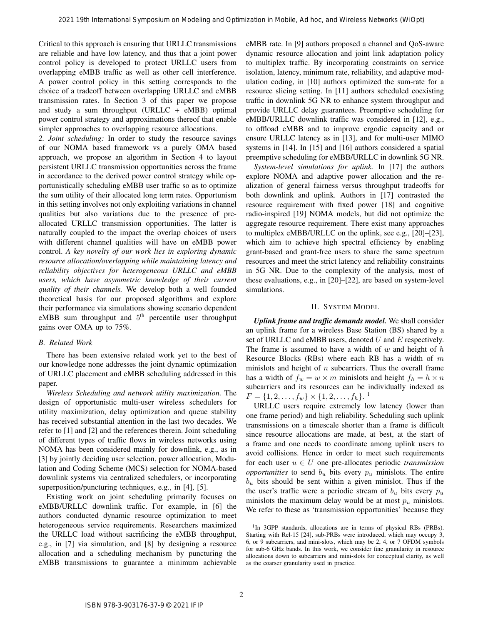Critical to this approach is ensuring that URLLC transmissions are reliable and have low latency, and thus that a joint power control policy is developed to protect URLLC users from overlapping eMBB traffic as well as other cell interference. A power control policy in this setting corresponds to the choice of a tradeoff between overlapping URLLC and eMBB transmission rates. In Section 3 of this paper we propose and study a sum throughput (URLLC  $+$  eMBB) optimal power control strategy and approximations thereof that enable simpler approaches to overlapping resource allocations.

*2. Joint scheduling:* In order to study the resource savings of our NOMA based framework vs a purely OMA based approach, we propose an algorithm in Section 4 to layout persistent URLLC transmission opportunities across the frame in accordance to the derived power control strategy while opportunistically scheduling eMBB user traffic so as to optimize the sum utility of their allocated long term rates. Opportunism in this setting involves not only exploiting variations in channel qualities but also variations due to the presence of preallocated URLLC transmission opportunities. The latter is naturally coupled to the impact the overlap choices of users with different channel qualities will have on eMBB power control. *A key novelty of our work lies in exploring dynamic resource allocation/overlapping while maintaining latency and reliability objectives for heterogeneous URLLC and eMBB users, which have asymmetric knowledge of their current quality of their channels.* We develop both a well founded theoretical basis for our proposed algorithms and explore their performance via simulations showing scenario dependent  $eMBB$  sum throughput and  $5<sup>th</sup>$  percentile user throughput gains over OMA up to 75%. 2021 19th International Symposium on Modeling and Optimization in Modeling And Symposium on Modeling and The Revent of Advised and Symposium on Modeling and The Revent of Advised Andres Networks (WiOptimization in Modelin

## *B. Related Work*

There has been extensive related work yet to the best of our knowledge none addresses the joint dynamic optimization of URLLC placement and eMBB scheduling addressed in this paper.

*Wireless Scheduling and network utility maximization.* The design of opportunistic multi-user wireless schedulers for utility maximization, delay optimization and queue stability has received substantial attention in the last two decades. We refer to [1] and [2] and the references therein. Joint scheduling of different types of traffic flows in wireless networks using NOMA has been considered mainly for downlink, e.g., as in [3] by jointly deciding user selection, power allocation, Modulation and Coding Scheme (MCS) selection for NOMA-based downlink systems via centralized schedulers, or incorporating superposition/puncturing techniques, e.g., in [4], [5].

Existing work on joint scheduling primarily focuses on eMBB/URLLC downlink traffic. For example, in [6] the authors conducted dynamic resource optimization to meet heterogeneous service requirements. Researchers maximized the URLLC load without sacrificing the eMBB throughput, e.g., in [7] via simulation, and [8] by designing a resource allocation and a scheduling mechanism by puncturing the eMBB transmissions to guarantee a minimum achievable eMBB rate. In [9] authors proposed a channel and QoS-aware dynamic resource allocation and joint link adaptation policy to multiplex traffic. By incorporating constraints on service isolation, latency, minimum rate, reliability, and adaptive modulation coding, in [10] authors optimized the sum-rate for a resource slicing setting. In [11] authors scheduled coexisting traffic in downlink 5G NR to enhance system throughput and provide URLLC delay guarantees. Preemptive scheduling for eMBB/URLLC downlink traffic was considered in [12], e.g., to offload eMBB and to improve ergodic capacity and or ensure URLLC latency as in [13], and for multi-user MIMO systems in [14]. In [15] and [16] authors considered a spatial preemptive scheduling for eMBB/URLLC in downlink 5G NR.

*System-level simulations for uplink.* In [17] the authors explore NOMA and adaptive power allocation and the realization of general fairness versus throughput tradeoffs for both downlink and uplink. Authors in [17] contrasted the resource requirement with fixed power [18] and cognitive radio-inspired [19] NOMA models, but did not optimize the aggregate resource requirement. There exist many approaches to multiplex eMBB/URLLC on the uplink, see e.g., [20]–[23], which aim to achieve high spectral efficiency by enabling grant-based and grant-free users to share the same spectrum resources and meet the strict latency and reliability constraints in 5G NR. Due to the complexity of the analysis, most of these evaluations, e.g., in [20]–[22], are based on system-level simulations.

## II. SYSTEM MODEL

*Uplink frame and traffic demands model.* We shall consider an uplink frame for a wireless Base Station (BS) shared by a set of URLLC and eMBB users, denoted  $U$  and  $E$  respectively. The frame is assumed to have a width of  $w$  and height of  $h$ Resource Blocks (RBs) where each RB has a width of  $m$ minislots and height of  $n$  subcarriers. Thus the overall frame has a width of  $f_w = w \times m$  minislots and height  $f_h = h \times n$ subcarriers and its resources can be individually indexed as  $F = \{1, 2, \ldots, f_w\} \times \{1, 2, \ldots, f_h\}.$ <sup>1</sup>

URLLC users require extremely low latency (lower than one frame period) and high reliability. Scheduling such uplink transmissions on a timescale shorter than a frame is difficult since resource allocations are made, at best, at the start of a frame and one needs to coordinate among uplink users to avoid collisions. Hence in order to meet such requirements for each user  $u \in U$  one pre-allocates periodic *transmission opportunities* to send  $b<sub>u</sub>$  bits every  $p<sub>u</sub>$  minislots. The entire  $b<sub>u</sub>$  bits should be sent within a given minislot. Thus if the the user's traffic were a periodic stream of  $b_u$  bits every  $p_u$ minislots the maximum delay would be at most  $p_u$  minislots. We refer to these as 'transmission opportunities' because they

<sup>&</sup>lt;sup>1</sup>In 3GPP standards, allocations are in terms of physical RBs (PRBs). Starting with Rel-15 [24], sub-PRBs were introduced, which may occupy 3, 6, or 9 subcarriers, and mini-slots, which may be 2, 4, or 7 OFDM symbols for sub-6 GHz bands. In this work, we consider fine granularity in resource allocations down to subcarriers and mini-slots for conceptual clarity, as well as the coarser granularity used in practice.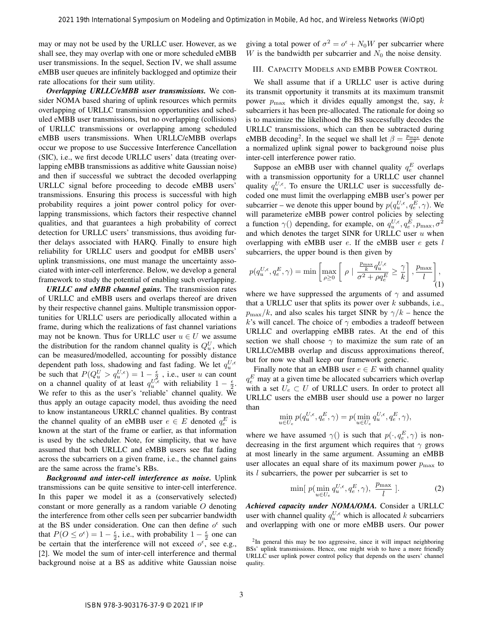may or may not be used by the URLLC user. However, as we shall see, they may overlap with one or more scheduled eMBB user transmissions. In the sequel, Section IV, we shall assume eMBB user queues are infinitely backlogged and optimize their rate allocations for their sum utility.

*Overlapping URLLC/eMBB user transmissions.* We consider NOMA based sharing of uplink resources which permits overlapping of URLLC transmission opportunities and scheduled eMBB user transmissions, but no overlapping (collisions) of URLLC transmissions or overlapping among scheduled eMBB users transmissions. When URLLC/eMBB overlaps occur we propose to use Successive Interference Cancellation (SIC), i.e., we first decode URLLC users' data (treating overlapping eMBB transmissions as additive white Gaussian noise) and then if successful we subtract the decoded overlapping URLLC signal before proceeding to decode eMBB users' transmissions. Ensuring this process is successful with high probability requires a joint power control policy for overlapping transmissions, which factors their respective channel qualities, and that guarantees a high probability of correct detection for URLLC users' transmissions, thus avoiding further delays associated with HARQ. Finally to ensure high reliability for URLLC users and goodput for eMBB users' uplink transmissions, one must manage the uncertainty associated with inter-cell interference. Below, we develop a general framework to study the potential of enabling such overlapping. 2021 19th International Symposium on Modeling and Optimization in Modeling And Model 2021 19th International Symposium on Modeling and The Hockey and Symposium on Modeling and Symposium on Modeling and Symposium on Modeli

*URLLC and eMBB channel gains.* The transmission rates of URLLC and eMBB users and overlaps thereof are driven by their respective channel gains. Multiple transmission opportunities for URLLC users are periodically allocated within a frame, during which the realizations of fast channel variations may not be known. Thus for URLLC user  $u \in U$  we assume the distribution for the random channel quality is  $Q_u^U$ , which can be measured/modelled, accounting for possibly distance dependent path loss, shadowing and fast fading. We let  $q_u^{U,\epsilon}$ be such that  $P(Q_u^U > q_u^{U,\epsilon}) = 1 - \frac{\epsilon}{r^2}$ , i.e., user u can count on a channel quality of at least  $q_u^{U,\epsilon}$  with reliability  $1-\frac{\epsilon}{2}$ . We refer to this as the user's 'reliable' channel quality. We thus apply an outage capacity model, thus avoiding the need to know instantaneous URRLC channel qualities. By contrast the channel quality of an eMBB user  $e \in E$  denoted  $q_e^E$  is known at the start of the frame or earlier, as that information is used by the scheduler. Note, for simplicity, that we have assumed that both URLLC and eMBB users see flat fading across the subcarriers on a given frame, i.e., the channel gains are the same across the frame's RBs.

*Background and inter-cell interference as noise.* Uplink transmissions can be quite sensitive to inter-cell interference. In this paper we model it as a (conservatively selected) constant or more generally as a random variable O denoting the interference from other cells seen per subcarrier bandwidth at the BS under consideration. One can then define  $o^{\epsilon}$  such that  $P(O \le o^{\epsilon}) = 1 - \frac{\epsilon}{2}$ , i.e., with probability  $1 - \frac{\epsilon}{2}$  one can be certain that the interference will not exceed  $o^{\epsilon}$ , see e.g., [2]. We model the sum of inter-cell interference and thermal background noise at a BS as additive white Gaussian noise giving a total power of  $\sigma^2 = o^{\epsilon} + N_0 W$  per subcarrier where W is the bandwidth per subcarrier and  $N_0$  the noise density.

#### III. CAPACITY MODELS AND EMBB POWER CONTROL

We shall assume that if a URLLC user is active during its transmit opportunity it transmits at its maximum transmit power  $p_{\text{max}}$  which it divides equally amongst the, say, k subcarriers it has been pre-allocated. The rationale for doing so is to maximize the likelihood the BS successfully decodes the URLLC transmissions, which can then be subtracted during eMBB decoding<sup>2</sup>. In the sequel we shall let  $\beta = \frac{p_{\text{max}}}{\sigma^2}$  denote a normalized uplink signal power to background noise plus inter-cell interference power ratio.

Suppose an eMBB user with channel quality  $q_e^E$  overlaps with a transmission opportunity for a URLLC user channel quality  $q_u^{U,\epsilon}$ . To ensure the URLLC user is successfully decoded one must limit the overlapping eMBB user's power per subcarrier – we denote this upper bound by  $p(q_u^{U,\epsilon}, q_e^E, \gamma)$ . We will parameterize eMBB power control policies by selecting a function  $\gamma()$  depending, for example, on  $q_u^{U,\epsilon}, q_e^E, p_{\text{max}}, \sigma^2$ and which denotes the target SINR for URLLC user  $u$  when overlapping with eMBB user  $e$ . If the eMBB user  $e$  gets  $l$ subcarriers, the upper bound is then given by

$$
p(q_u^{U,\epsilon}, q_e^E, \gamma) = \min \left[ \max_{\rho \ge 0} \left[ \rho \mid \frac{\frac{p_{\text{max}}}{k} q_u^{U,\epsilon}}{\sigma^2 + \rho q_e^E} \ge \frac{\gamma}{k} \right], \frac{p_{\text{max}}}{l} \right], \tag{1}
$$

where we have suppressed the arguments of  $\gamma$  and assumed that a URLLC user that splits its power over  $k$  subbands, i.e.,  $p_{\text{max}}/k$ , and also scales his target SINR by  $\gamma/k$  – hence the k's will cancel. The choice of  $\gamma$  embodies a tradeoff between URLLC and overlapping eMBB rates. At the end of this section we shall choose  $\gamma$  to maximize the sum rate of an URLLC/eMBB overlap and discuss approximations thereof, but for now we shall keep our framework generic.

Finally note that an eMBB user  $e \in E$  with channel quality  $q_e^E$  may at a given time be allocated subcarriers which overlap with a set  $U_e \subset U$  of URLLC users. In order to protect all URLLC users the eMBB user should use a power no larger than

$$
\min_{u\in U_e} p(q_u^{U,\epsilon},q_e^E,\gamma)=p(\min_{u\in U_e} q_u^{U,\epsilon},q_e^E,\gamma),
$$

where we have assumed  $\gamma()$  is such that  $p(\cdot, q_e^E, \gamma)$  is nondecreasing in the first argument which requires that  $\gamma$  grows at most linearly in the same argument. Assuming an eMBB user allocates an equal share of its maximum power  $p_{\text{max}}$  to its  $l$  subcarriers, the power per subcarrier is set to

$$
\min[ p(\min_{u \in U_e} q_u^{U,\epsilon}, q_e^E, \gamma), \ \frac{p_{\text{max}}}{l} ]. \tag{2}
$$

*Achieved capacity under NOMA/OMA.* Consider a URLLC user with channel quality  $q_u^{U,\epsilon}$  which is allocated k subcarriers and overlapping with one or more eMBB users. Our power

 $2$ In general this may be too aggressive, since it will impact neighboring BSs' uplink transmissions. Hence, one might wish to have a more friendly URLLC user uplink power control policy that depends on the users' channel quality.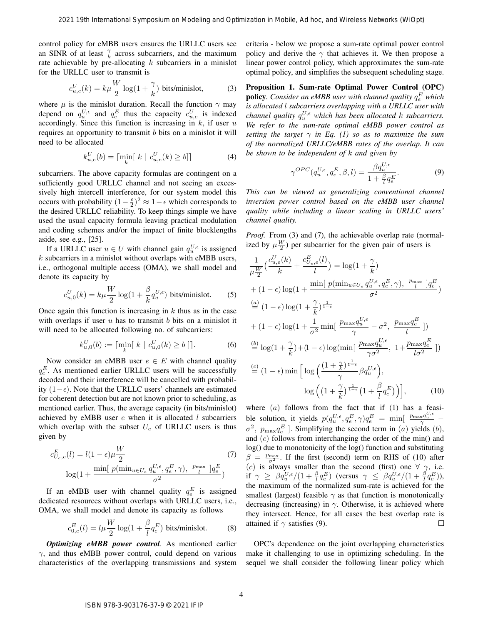control policy for eMBB users ensures the URLLC users see an SINR of at least  $\frac{\gamma}{k}$  across subcarriers, and the maximum rate achievable by pre-allocating  $k$  subcarriers in a minislot for the URLLC user to transmit is

$$
c_{u,e}^U(k) = k\mu \frac{W}{2} \log(1 + \frac{\gamma}{k}) \text{ bits/minislot,}
$$
 (3)

where  $\mu$  is the minislot duration. Recall the function  $\gamma$  may depend on  $q_u^{U,\epsilon}$  and  $q_e^E$  thus the capacity  $c_{u,e}^U$  is indexed accordingly. Since this function is increasing in  $k$ , if user  $u$ requires an opportunity to transmit b bits on a minislot it will need to be allocated

$$
k_{u,e}^{U}(b) = \lceil \min_{k} [ k \mid c_{u,e}^{U}(k) \ge b] \rceil
$$
 (4)

subcarriers. The above capacity formulas are contingent on a sufficiently good URLLC channel and not seeing an excessively high intercell interference, for our system model this occurs with probability  $(1 - \frac{\epsilon}{2})^2 \approx 1 - \epsilon$  which corresponds to the desired URLLC reliability. To keep things simple we have used the usual capacity formula leaving practical modulation and coding schemes and/or the impact of finite blocklengths aside, see e.g., [25].

If a URLLC user  $u \in U$  with channel gain  $q_u^{U,\epsilon}$  is assigned  $k$  subcarriers in a minislot without overlaps with eMBB users, i.e., orthogonal multiple access (OMA), we shall model and denote its capacity by

$$
c_{u,0}^U(k) = k\mu \frac{W}{2} \log(1 + \frac{\beta}{k} q_u^{U,\epsilon}) \text{ bits/minislot.}
$$
 (5)

Once again this function is increasing in  $k$  thus as in the case with overlaps if user  $u$  has to transmit  $b$  bits on a minislot it will need to be allocated following no. of subcarriers:

$$
k_{u,0}^U(b) := \lceil \min_k \lfloor k \mid c_{u,0}^U(k) \ge b \rfloor \rceil. \tag{6}
$$

Now consider an eMBB user  $e \in E$  with channel quality  $q_e^E$ . As mentioned earlier URLLC users will be successfully decoded and their interference will be cancelled with probability  $(1-\epsilon)$ . Note that the URLLC users' channels are estimated for coherent detection but are not known prior to scheduling, as mentioned earlier. Thus, the average capacity (in bits/minislot) achieved by eMBB user  $e$  when it is allocated  $l$  subcarriers which overlap with the subset  $U_e$  of URLLC users is thus given by

$$
c_{U_e,e}^E(l) = l(1 - \epsilon)\mu \frac{W}{2}
$$
\n
$$
\log(1 + \frac{\min[ p(\min_{u \in U_e} q_u^{U,\epsilon}, q_e^E, \gamma), \frac{p_{\max}}{l} ]q_e^E}{\sigma^2})
$$
\n(7)

If an eMBB user with channel quality  $q_e^E$  is assigned dedicated resources without overlaps with URLLC users, i.e., OMA, we shall model and denote its capacity as follows

$$
c_{0,e}^{E}(l) = l\mu \frac{W}{2} \log\left(1 + \frac{\beta}{l} q_e^{E}\right) \text{ bits/minislot.}
$$
 (8)

*Optimizing eMBB power control*. As mentioned earlier  $\gamma$ , and thus eMBB power control, could depend on various characteristics of the overlapping transmissions and system criteria - below we propose a sum-rate optimal power control policy and derive the  $\gamma$  that achieves it. We then propose a linear power control policy, which approximates the sum-rate optimal policy, and simplifies the subsequent scheduling stage.

Proposition 1. Sum-rate Optimal Power Control (OPC) **policy**. Consider an eMBB user with channel quality  $q_e^E$  which *is allocated* l *subcarriers overlapping with a URLLC user with channel quality*  $q_u^{U,\epsilon}$  *which has been allocated k subcarriers. We refer to the sum-rate optimal eMBB power control as setting the target*  $\gamma$  *in Eq. (1) so as to maximize the sum of the normalized URLLC/eMBB rates of the overlap. It can be shown to be independent of* k *and given by*

$$
\gamma^{OPC}(q_u^{U,\epsilon}, q_e^E, \beta, l) = \frac{\beta q_u^{U,\epsilon}}{1 + \frac{\beta}{l} q_e^E}.
$$
\n(9)

*This can be viewed as generalizing conventional channel inversion power control based on the eMBB user channel quality while including a linear scaling in URLLC users' channel quality.*

*Proof.* From (3) and (7), the achievable overlap rate (normalized by  $\mu \frac{W}{2}$ ) per subcarrier for the given pair of users is

1 µ W 2 c U u,e(k) k + c E <sup>U</sup>e,e(l) l = log(1 + <sup>γ</sup> k ) + (1 <sup>−</sup> ) log(1 + min[ <sup>p</sup>(minu∈U<sup>e</sup> q U, u , q<sup>E</sup> e , γ), pmax l ]q E e σ 2 ) (a) = (1 <sup>−</sup> ) log(1 + <sup>γ</sup> k ) 1 1− + (1 <sup>−</sup> ) log(1 + <sup>1</sup> σ <sup>2</sup> min[ <sup>p</sup>max<sup>q</sup> U, u γ − σ 2 , pmaxq E e l ]) (b) = log(1 + <sup>γ</sup> k )+(1 <sup>−</sup> ) log(min[ <sup>p</sup>max<sup>q</sup> U, u γσ<sup>2</sup> , 1+ pmaxq E e lσ<sup>2</sup> ]) (c) = (1 − ) min h log (1 + <sup>γ</sup> k ) 1 1− γ βqU, u , log 1 + γ k 1 1− 1 + β l q E e i, (10) 2021 19th International Symposium on Modeling and Optimization in Mobile, Ad hoc, and Wireless Networks (WiOpt) ISBN 978-3-903176-37-9 © 2021 IFIP

where  $(a)$  follows from the fact that if  $(1)$  has a feasible solution, it yields  $p(q_u^U,\epsilon, q_e^E, \gamma) q_e^E = \min \left[ \frac{p_{\text{max}} q_u^U,\epsilon}{\gamma} - \right]$  $\sigma^2$ ,  $p_{\text{max}} q_e^E$ ]. Simplifying the second term in (*a*) yields (*b*), and (c) follows from interchanging the order of the min() and log() due to monotonicity of the log() function and substituting  $\beta = \frac{p_{\text{max}}}{\sigma^2}$ . If the first (second) term on RHS of (10) after (c) is always smaller than the second (first) one  $\forall \gamma$ , i.e. if  $\gamma \geq \beta q_u^{U,\epsilon}/(1+\frac{\beta}{l}q_e^E)$  (versus  $\gamma \leq \beta q_u^{U,\epsilon}/(1+\frac{\beta}{l}q_e^E)$ ), the maximum of the normalized sum-rate is achieved for the smallest (largest) feasible  $\gamma$  as that function is monotonically decreasing (increasing) in  $\gamma$ . Otherwise, it is achieved where they intersect. Hence, for all cases the best overlap rate is attained if  $\gamma$  satisfies (9).  $\Box$ 

OPC's dependence on the joint overlapping characteristics make it challenging to use in optimizing scheduling. In the sequel we shall consider the following linear policy which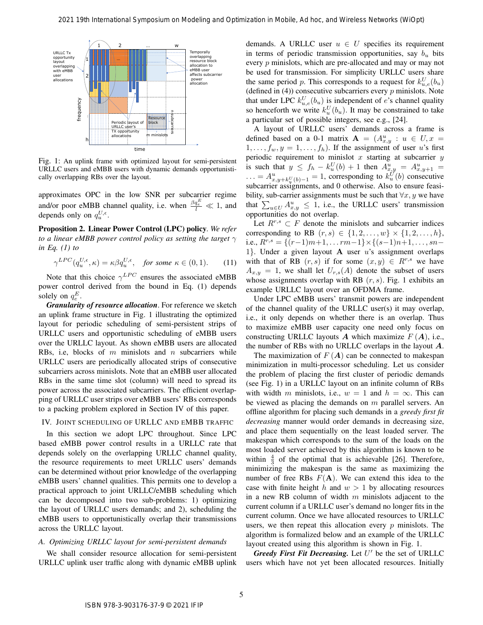

Fig. 1: An uplink frame with optimized layout for semi-persistent URLLC users and eMBB users with dynamic demands opportunistically overlapping RBs over the layout.

approximates OPC in the low SNR per subcarrier regime and/or poor eMBB channel quality, i.e. when  $\frac{\beta q_e^E}{l} \ll 1$ , and depends only on  $q_u^{U,\epsilon}$ .

Proposition 2. Linear Power Control (LPC) policy*. We refer to a linear eMBB power control policy as setting the target*  $\gamma$ *in Eq. (1) to*

$$
\gamma^{LPC}(q_u^{U,\epsilon}, \kappa) = \kappa \beta q_u^{U,\epsilon}, \quad \text{for some } \kappa \in (0,1). \tag{11}
$$

Note that this choice  $\gamma^{LPC}$  ensures the associated eMBB power control derived from the bound in Eq. (1) depends solely on  $q_e^E$ .

*Granularity of resource allocation*. For reference we sketch an uplink frame structure in Fig. 1 illustrating the optimized layout for periodic scheduling of semi-persistent strips of URLLC users and opportunistic scheduling of eMBB users over the URLLC layout. As shown eMBB users are allocated RBs, i.e, blocks of  $m$  minislots and  $n$  subcarriers while URLLC users are periodically allocated strips of consecutive subcarriers across minislots. Note that an eMBB user allocated RBs in the same time slot (column) will need to spread its power across the associated subcarriers. The efficient overlapping of URLLC user strips over eMBB users' RBs corresponds to a packing problem explored in Section IV of this paper.

## IV. JOINT SCHEDULING OF URLLC AND EMBB TRAFFIC

In this section we adopt LPC throughout. Since LPC based eMBB power control results in a URLLC rate that depends solely on the overlapping URLLC channel quality, the resource requirements to meet URLLC users' demands can be determined without prior knowledge of the overlapping eMBB users' channel qualities. This permits one to develop a practical approach to joint URLLC/eMBB scheduling which can be decomposed into two sub-problems: 1) optimizing the layout of URLLC users demands; and 2), scheduling the eMBB users to opportunistically overlap their transmissions across the URLLC layout.

## *A. Optimizing URLLC layout for semi-persistent demands*

We shall consider resource allocation for semi-persistent URLLC uplink user traffic along with dynamic eMBB uplink

demands. A URLLC user  $u \in U$  specifies its requirement in terms of periodic transmission opportunities, say  $b<sub>u</sub>$  bits every p minislots, which are pre-allocated and may or may not be used for transmission. For simplicity URLLC users share the same period p. This corresponds to a request for  $k_{u,e}^{U}(b_u)$ (defined in  $(4)$ ) consecutive subcarriers every p minislots. Note that under LPC  $k_{u,e}^U(b_u)$  is independent of e's channel quality so henceforth we write  $k_u^U(b_u)$ . It may be constrained to take a particular set of possible integers, see e.g., [24].

A layout of URLLC users' demands across a frame is defined based on a 0-1 matrix  $\mathbf{A} = (A_{x,y}^u : u \in U, x =$  $1, \ldots, f_w, y = 1, \ldots, f_h$ . If the assignment of user u's first periodic requirement to minislot  $x$  starting at subcarrier  $y$ is such that  $y \leq f_h - k_u^U(b) + 1$  then  $A_{x,y}^u = A_{x,y+1}^u =$  $\ldots = A^u_{x,y+k_u^U(b)-1} = 1$ , corresponding to  $k_u^U(b)$  consecutive subcarrier assignments, and  $\theta$  otherwise. Also to ensure feasibility, sub-carrier assignments must be such that  $\forall x, y$  we have that  $\sum_{u \in U} A_{x,y}^u \leq 1$ , i.e., the URLLC users' transmission opportunities do not overlap.

Let  $R^{r,s} \subset F$  denote the minislots and subcarrier indices corresponding to RB  $(r, s) \in \{1, 2, ..., w\} \times \{1, 2, ..., h\},$ i.e.,  $R^{r,s} = \{(r-1)m+1, \ldots rm-1\} \times \{(s-1)n+1, \ldots, sn-1\}$ 1}. Under a given layout A user  $u$ 's assignment overlaps with that of RB  $(r, s)$  if for some  $(x, y) \in R^{r,s}$  we have  $A_{x,y} = 1$ , we shall let  $U_{r,s}(A)$  denote the subset of users whose assignments overlap with RB  $(r, s)$ . Fig. 1 exhibits an example URLLC layout over an OFDMA frame.

Under LPC eMBB users' transmit powers are independent of the channel quality of the URLLC user(s) it may overlap, i.e., it only depends on whether there is an overlap. Thus to maximize eMBB user capacity one need only focus on constructing URLLC layouts A which maximize  $F(A)$ , i.e., the number of RBs with no URLLC overlaps in the layout  $A$ .

The maximization of  $F(A)$  can be connected to makespan minimization in multi-processor scheduling. Let us consider the problem of placing the first cluster of periodic demands (see Fig. 1) in a URLLC layout on an infinite column of RBs with width m minislots, i.e.,  $w = 1$  and  $h = \infty$ . This can be viewed as placing the demands on  $m$  parallel servers. An offline algorithm for placing such demands in a *greedy first fit decreasing* manner would order demands in decreasing size, and place them sequentially on the least loaded server. The makespan which corresponds to the sum of the loads on the most loaded server achieved by this algorithm is known to be within  $\frac{4}{3}$  of the optimal that is achievable [26]. Therefore, minimizing the makespan is the same as maximizing the number of free RBs  $F(A)$ . We can extend this idea to the case with finite height h and  $w > 1$  by allocating resources in a new RB column of width  $m$  minislots adjacent to the current column if a URLLC user's demand no longer fits in the current column. Once we have allocated resources to URLLC users, we then repeat this allocation every  $p$  minislots. The algorithm is formalized below and an example of the URLLC layout created using this algorithm is shown in Fig. 1. 2021 19th International Symposium on Modeling and Optimization International CAUSE are  $w_1$ . The specified and the material content in Modeling and Advised And hocket in The material content in Modeling and the material

Greedy First Fit Decreasing. Let U' be the set of URLLC users which have not yet been allocated resources. Initially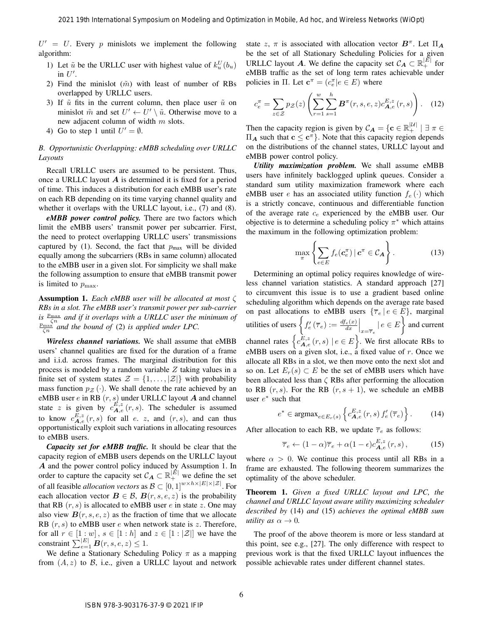$U' = U$ . Every p minislots we implement the following algorithm:

- 1) Let  $\tilde{u}$  be the URLLC user with highest value of  $k_u^U(b_u)$ in  $U'$ .
- 2) Find the minislot  $(\tilde{m})$  with least of number of RBs overlapped by URLLC users.
- 3) If  $\tilde{u}$  fits in the current column, then place user  $\tilde{u}$  on minislot  $\tilde{m}$  and set  $U' \leftarrow U' \setminus \tilde{u}$ . Otherwise move to a new adjacent column of width  $m$  slots.
- 4) Go to step 1 until  $U' = \emptyset$ .

# *B. Opportunistic Overlapping: eMBB scheduling over URLLC Layouts*

Recall URLLC users are assumed to be persistent. Thus, once a URLLC layout  $A$  is determined it is fixed for a period of time. This induces a distribution for each eMBB user's rate on each RB depending on its time varying channel quality and whether it overlaps with the URLLC layout, i.e., (7) and (8).

*eMBB power control policy.* There are two factors which limit the eMBB users' transmit power per subcarrier. First, the need to protect overlapping URLLC users' transmissions captured by (1). Second, the fact that  $p_{\text{max}}$  will be divided equally among the subcarriers (RBs in same column) allocated to the eMBB user in a given slot. For simplicity we shall make the following assumption to ensure that eMBB transmit power is limited to  $p_{\text{max}}$ .

Assumption 1. *Each eMBB user will be allocated at most* ζ *RBs in a slot. The eMBB user's transmit power per sub-carrier is*  $\frac{p_{\text{max}}}{\zeta n}$  and if it overlaps with a URLLC user the minimum of  $\frac{p_{\max}}{\zeta n}$  and the bound of (2) is applied under LPC.

*Wireless channel variations.* We shall assume that eMBB users' channel qualities are fixed for the duration of a frame and i.i.d. across frames. The marginal distribution for this process is modeled by a random variable  $Z$  taking values in a finite set of system states  $\mathcal{Z} = \{1, \ldots, |\mathcal{Z}|\}$  with probability mass function  $p_Z$  (·). We shall denote the rate achieved by an eMBB user  $e$  in RB  $(r, s)$  under URLLC layout  $A$  and channel state z is given by  $c_{\mathbf{A},e}^{E,z}(r,s)$ . The scheduler is assumed to know  $c_{\mathbf{A},e}^{E,z}(r,s)$  for all e. z, and  $(r, s)$ , and can thus opportunistically exploit such variations in allocating resources to eMBB users.

*Capacity set for eMBB traffic.* It should be clear that the capacity region of eMBB users depends on the URLLC layout A and the power control policy induced by Assumption 1. In order to capture the capacity set  $C_A \subset \mathbb{R}_+^{|\vec{E}|}$  we define the set of all feasible *allocation vectors* as  $\mathcal{B} \subset [0, 1]^{w \times h \times |E| \times |\mathcal{Z}|}$ . For each allocation vector  $\mathbf{B} \in \mathcal{B}$ ,  $\mathbf{B}(r, s, e, z)$  is the probability that RB  $(r, s)$  is allocated to eMBB user e in state z. One may also view  $B(r, s, e, z)$  as the fraction of time that we allocate RB  $(r, s)$  to eMBB user e when network state is z. Therefore, for all  $r \in [1:w]$ ,  $s \in [1:h]$  and  $z \in [1:|\mathcal{Z}|]$  we have the constraint  $\sum_{e=1}^{|E|} \boldsymbol{B}(r, s, e, z) \leq 1$ .

We define a Stationary Scheduling Policy  $\pi$  as a mapping from  $(A, z)$  to  $B$ , i.e., given a URLLC layout and network

state z,  $\pi$  is associated with allocation vector  $B^{\pi}$ . Let  $\Pi_{A}$ be the set of all Stationary Scheduling Policies for a given URLLC layout A. We define the capacity set  $\mathcal{C}_A \subset \mathbb{R}_+^{|\vec{E}|}$  for eMBB traffic as the set of long term rates achievable under policies in Π. Let  $\mathbf{c}^{\pi} = (c_e^{\pi} | e \in E)$  where

$$
c_e^{\pi} = \sum_{z \in \mathcal{Z}} p_{\mathcal{Z}}(z) \left( \sum_{r=1}^{w} \sum_{s=1}^{h} \boldsymbol{B}^{\pi}(r, s, e, z) c_{\boldsymbol{A}, e}^{E, z}(r, s) \right). \tag{12}
$$

Then the capacity region is given by  $C_A = \{ c \in \mathbb{R}_+^{\vert \mathcal{U} \vert} \mid \exists \pi \in \mathcal{U} \}$  $\Pi_A$  such that  $c \leq c^{\pi}$ . Note that this capacity region depends on the distributions of the channel states, URLLC layout and eMBB power control policy.

*Utility maximization problem.* We shall assume eMBB users have infinitely backlogged uplink queues. Consider a standard sum utility maximization framework where each eMBB user e has an associated utility function  $f_e(\cdot)$  which is a strictly concave, continuous and differentiable function of the average rate  $c_e$  experienced by the eMBB user. Our objective is to determine a scheduling policy  $\pi^*$  which attains the maximum in the following optimization problem:

$$
\max_{\pi} \left\{ \sum_{e \in E} f_e(\mathbf{c}_e^{\pi}) \, | \, \mathbf{c}^{\pi} \in \mathcal{C}_A \right\}.
$$
 (13)

Determining an optimal policy requires knowledge of wireless channel variation statistics. A standard approach [27] to circumvent this issue is to use a gradient based online scheduling algorithm which depends on the average rate based on past allocations to eMBB users  $\{\overline{\tau}_e \mid e \in E\}$ , marginal utilities of users  $\left\{f'_e(\overline{\tau}_e) := \frac{df_e(x)}{dx}\Big|_{x=\overline{\tau}_e} \mid e \in E\right\}$  and current channel rates  $\left\{ c_{\mathbf{A},e}^{E,z}(r,s) \mid e \in E \right\}$ . We first allocate RBs to eMBB users on a given slot, i.e., a fixed value of  $r$ . Once we allocate all RBs in a slot, we then move onto the next slot and so on. Let  $E_r(s) \subset E$  be the set of eMBB users which have been allocated less than  $\zeta$  RBs after performing the allocation to RB  $(r, s)$ . For the RB  $(r, s + 1)$ , we schedule an eMBB user  $e^*$  such that 2021 19th International Symposium on Modeling and Symposium on Modeling Agents and Winding and Symposium of Modeling and Symposium of Modeling and Symposium of Modeling and Symposium of Modeling and Symposium of Modeling

$$
e^* \in \operatorname{argmax}_{e \in E_r(s)} \left\{ c_{\mathbf{A},e}^{E,z}(r,s) \, f'_e(\overline{\tau}_e) \right\}.
$$
 (14)

After allocation to each RB, we update  $\overline{\tau}_e$  as follows:

$$
\overline{\tau}_e \leftarrow (1 - \alpha)\overline{\tau}_e + \alpha(1 - \epsilon)c_{\mathbf{A},e}^{E,z}(r,s), \tag{15}
$$

where  $\alpha > 0$ . We continue this process until all RBs in a frame are exhausted. The following theorem summarizes the optimality of the above scheduler.

Theorem 1. *Given a fixed URLLC layout and LPC, the channel and URLLC layout aware utility maximizing scheduler described by* (14) *and* (15) *achieves the optimal eMBB sum utility as*  $\alpha \rightarrow 0$ *.* 

The proof of the above theorem is more or less standard at this point, see e.g., [27]. The only difference with respect to previous work is that the fixed URLLC layout influences the possible achievable rates under different channel states.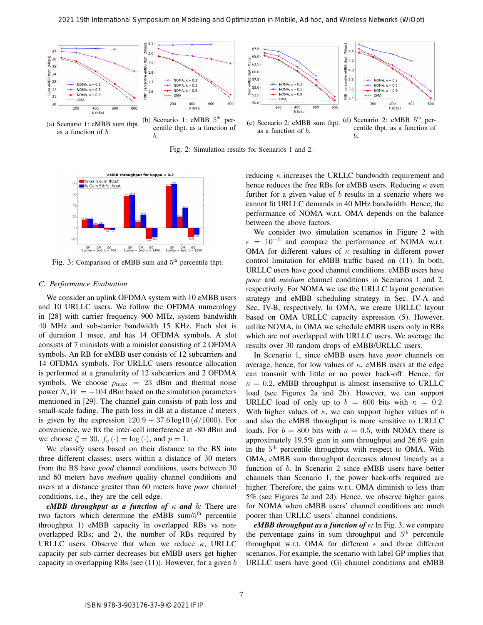

as a function of b.

centile thpt. as a function of b.

as a function of b. centile thpt. as a function of b.

Fig. 2: Simulation results for Scenarios 1 and 2.



Fig. 3: Comparison of eMBB sum and 5<sup>th</sup> percentile thpt.

#### *C. Performance Evaluation*

We consider an uplink OFDMA system with 10 eMBB users and 10 URLLC users. We follow the OFDMA numerology in [28] with carrier frequency 900 MHz, system bandwidth 40 MHz and sub-carrier bandwidth 15 KHz. Each slot is of duration 1 msec. and has 14 OFDMA symbols. A slot consists of 7 minislots with a minislot consisting of 2 OFDMA symbols. An RB for eMBB user consists of 12 subcarriers and 14 OFDMA symbols. For URLLC users resource allocation is performed at a granularity of 12 subcarriers and 2 OFDMA symbols. We choose  $p_{\text{max}} = 23$  dBm and thermal noise power  $N_oW = -104$  dBm based on the simulation parameters mentioned in [29]. The channel gain consists of path loss and small-scale fading. The path loss in  $\text{dB}$  at a distance  $d$  meters is given by the expression  $120.9 + 37.6 \log 10 (d/1000)$ . For convenience, we fix the inter-cell interference at -80 dBm and we choose  $\zeta = 30$ ,  $f_e(\cdot) = \log(\cdot)$ , and  $p = 1$ .

We classify users based on their distance to the BS into three different classes; users within a distance of 30 meters from the BS have *good* channel conditions, users between 30 and 60 meters have *medium* quality channel conditions and users at a distance greater than 60 meters have *poor* channel conditions, i.e., they are the cell edge.

*eMBB throughput as a function of*  $\kappa$  *and*  $\delta$ *:* There are two factors which determine the eMBB sum/5<sup>th</sup> percentile throughput 1) eMBB capacity in overlapped RBs vs nonoverlapped RBs; and 2), the number of RBs required by URLLC users. Observe that when we reduce  $\kappa$ , URLLC capacity per sub-carrier decreases but eMBB users get higher capacity in overlapping RBs (see  $(11)$ ). However, for a given b reducing  $\kappa$  increases the URLLC bandwidth requirement and hence reduces the free RBs for eMBB users. Reducing  $\kappa$  even further for a given value of  $b$  results in a scenario where we cannot fit URLLC demands in 40 MHz bandwidth. Hence, the performance of NOMA w.r.t. OMA depends on the balance between the above factors.

We consider two simulation scenarios in Figure 2 with  $\epsilon = 10^{-5}$  and compare the performance of NOMA w.r.t. OMA for different values of  $\kappa$  resulting in different power control limitation for eMBB traffic based on (11). In both, URLLC users have good channel conditions. eMBB users have *poor* and *medium* channel conditions in Scenarios 1 and 2, respectively. For NOMA we use the URLLC layout generation strategy and eMBB scheduling strategy in Sec. IV-A and Sec. IV-B, respectively. In OMA, we create URLLC layout based on OMA URLLC capacity expression (5). However, unlike NOMA, in OMA we schedule eMBB users only in RBs which are not overlapped with URLLC users. We average the results over 30 random drops of eMBB/URLLC users.

In Scenario 1, since eMBB users have *poor* channels on average, hence, for low values of  $\kappa$ , eMBB users at the edge can transmit with little or no power back-off. Hence, for  $\kappa = 0.2$ , eMBB throughput is almost insensitive to URLLC load (see Figures 2a and 2b). However, we can support URLLC load of only up to  $b = 600$  bits with  $\kappa = 0.2$ . With higher values of  $\kappa$ , we can support higher values of b and also the eMBB throughput is more sensitive to URLLC loads. For  $b = 800$  bits with  $\kappa = 0.5$ , with NOMA there is approximately 19.5% gain in sum throughput and 26.6% gain in the 5<sup>th</sup> percentile throughput with respect to OMA. With OMA, eMBB sum throughput decreases almost linearly as a function of b. In Scenario 2 since eMBB users have better channels than Scenario 1, the power back-offs required are higher. Therefore, the gains w.r.t. OMA diminish to less than 5% (see Figures 2c and 2d). Hence, we observe higher gains for NOMA when eMBB users' channel conditions are much poorer than URLLC users' channel conditions.

*eMBB throughput as a function of*  $\epsilon$ : In Fig. 3, we compare the percentage gains in sum throughput and 5<sup>th</sup> percentile throughput w.r.t. OMA for different  $\epsilon$  and three different scenarios. For example, the scenario with label GP implies that URLLC users have good (G) channel conditions and eMBB